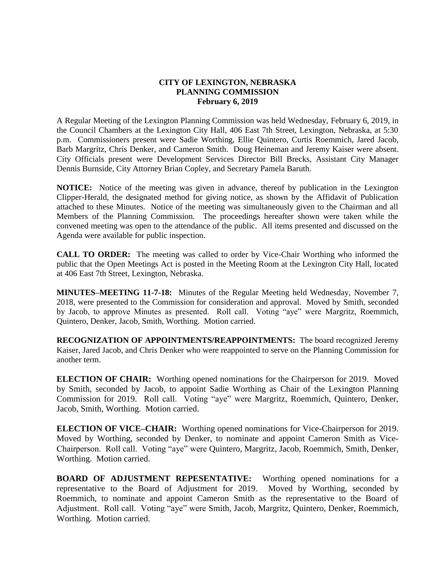## **CITY OF LEXINGTON, NEBRASKA PLANNING COMMISSION February 6, 2019**

A Regular Meeting of the Lexington Planning Commission was held Wednesday, February 6, 2019, in the Council Chambers at the Lexington City Hall, 406 East 7th Street, Lexington, Nebraska, at 5:30 p.m. Commissioners present were Sadie Worthing, Ellie Quintero, Curtis Roemmich, Jared Jacob, Barb Margritz, Chris Denker, and Cameron Smith. Doug Heineman and Jeremy Kaiser were absent. City Officials present were Development Services Director Bill Brecks, Assistant City Manager Dennis Burnside, City Attorney Brian Copley, and Secretary Pamela Baruth.

**NOTICE:** Notice of the meeting was given in advance, thereof by publication in the Lexington Clipper-Herald, the designated method for giving notice, as shown by the Affidavit of Publication attached to these Minutes. Notice of the meeting was simultaneously given to the Chairman and all Members of the Planning Commission. The proceedings hereafter shown were taken while the convened meeting was open to the attendance of the public. All items presented and discussed on the Agenda were available for public inspection.

**CALL TO ORDER:** The meeting was called to order by Vice-Chair Worthing who informed the public that the Open Meetings Act is posted in the Meeting Room at the Lexington City Hall, located at 406 East 7th Street, Lexington, Nebraska.

**MINUTES–MEETING 11-7-18:** Minutes of the Regular Meeting held Wednesday, November 7, 2018, were presented to the Commission for consideration and approval. Moved by Smith, seconded by Jacob, to approve Minutes as presented. Roll call. Voting "aye" were Margritz, Roemmich, Quintero, Denker, Jacob, Smith, Worthing. Motion carried.

**RECOGNIZATION OF APPOINTMENTS/REAPPOINTMENTS:** The board recognized Jeremy Kaiser, Jared Jacob, and Chris Denker who were reappointed to serve on the Planning Commission for another term.

**ELECTION OF CHAIR:** Worthing opened nominations for the Chairperson for 2019. Moved by Smith, seconded by Jacob, to appoint Sadie Worthing as Chair of the Lexington Planning Commission for 2019. Roll call. Voting "aye" were Margritz, Roemmich, Quintero, Denker, Jacob, Smith, Worthing. Motion carried.

**ELECTION OF VICE–CHAIR:** Worthing opened nominations for Vice-Chairperson for 2019. Moved by Worthing, seconded by Denker, to nominate and appoint Cameron Smith as Vice-Chairperson. Roll call. Voting "aye" were Quintero, Margritz, Jacob, Roemmich, Smith, Denker, Worthing. Motion carried.

**BOARD OF ADJUSTMENT REPESENTATIVE:** Worthing opened nominations for a representative to the Board of Adjustment for 2019. Moved by Worthing, seconded by Roemmich, to nominate and appoint Cameron Smith as the representative to the Board of Adjustment. Roll call. Voting "aye" were Smith, Jacob, Margritz, Quintero, Denker, Roemmich, Worthing. Motion carried.